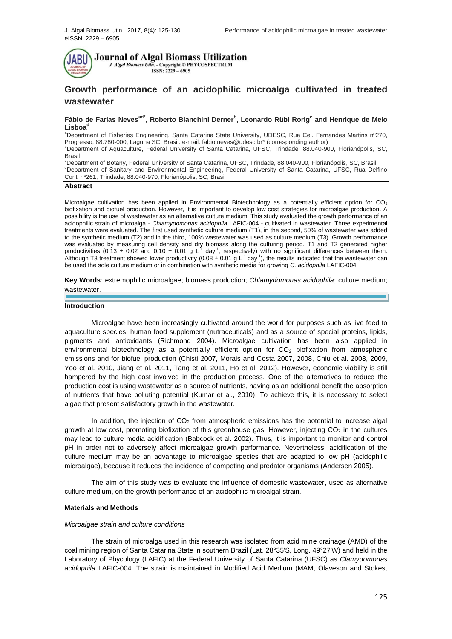

**Journal of Algal Biomass Utilization** J. Algal Biomass Utln. - Copyright © PHYCOSPECTRUM  $ISSN: 2229 - 6905$ 

# **Growth performance of an acidophilic microalga cultivated in treated wastewater**

## **Fábio de Farias Nevesad\* , Roberto Bianchini Derner<sup>b</sup> , Leonardo Rübi Rorig<sup>c</sup> and Henrique de Melo**  Lisboa<sup>o</sup>

aDepartment of Fisheries Engineering, Santa Catarina State University, UDESC, Rua Cel. Fernandes Martins nº270, Progresso, 88.780-000, Laguna SC, Brasil. e-mail: fabio.neves@udesc.br\* (corresponding author)

<sup>b</sup>Department of Aquaculture, Federal University of Santa Catarina, UFSC, Trindade, 88.040-900, Florianópolis, SC, Brasil

<sup>c</sup>Department of Botany, Federal University of Santa Catarina, UFSC, Trindade, 88.040-900, Florianópolis, SC, Brasil <sup>d</sup>Department of Sanitary and Environmental Engineering, Federal University of Santa Catarina, UFSC, Rua Delfino Conti nº261, Trindade, 88.040-970, Florianópolis, SC, Brasil

#### **Abstract**

Microalgae cultivation has been applied in Environmental Biotechnology as a potentially efficient option for  $CO<sub>2</sub>$ biofixation and biofuel production. However, it is important to develop low cost strategies for microalgae production. A possibility is the use of wastewater as an alternative culture medium. This study evaluated the growth performance of an acidophilic strain of microalga - *Chlamydomonas acidophila* LAFIC-004 - cultivated in wastewater. Three experimental treatments were evaluated. The first used synthetic culture medium (T1), in the second, 50% of wastewater was added to the synthetic medium (T2) and in the third, 100% wastewater was used as culture medium (T3). Growth performance was evaluated by measuring cell density and dry biomass along the culturing period. T1 and T2 generated higher<br>productivities (0.13 ± 0.02 and 0.10 ± 0.01 g L<sup>-1</sup> day<sup>-1</sup>, respectively) with no significant differences betw Although T3 treatment showed lower productivity (0.08  $\pm$  0.01 g L<sup>-1</sup> day<sup>-1</sup>), the results indicated that the wastewater can be used the sole culture medium or in combination with synthetic media for growing *C. acidophila* LAFIC-004.

**Key Words**: extremophilic microalgae; biomass production; *Chlamydomonas acidophila*; culture medium; wastewater.

#### **Introduction**

Microalgae have been increasingly cultivated around the world for purposes such as live feed to aquaculture species, human food supplement (nutraceuticals) and as a source of special proteins, lipids, pigments and antioxidants (Richmond 2004). Microalgae cultivation has been also applied in environmental biotechnology as a potentially efficient option for  $CO<sub>2</sub>$  biofixation from atmospheric emissions and for biofuel production (Chisti 2007, Morais and Costa 2007, 2008, Chiu et al. 2008, 2009, Yoo et al. 2010, Jiang et al. 2011, Tang et al. 2011, Ho et al. 2012). However, economic viability is still hampered by the high cost involved in the production process. One of the alternatives to reduce the production cost is using wastewater as a source of nutrients, having as an additional benefit the absorption of nutrients that have polluting potential (Kumar et al., 2010). To achieve this, it is necessary to select algae that present satisfactory growth in the wastewater.

In addition, the injection of  $CO<sub>2</sub>$  from atmospheric emissions has the potential to increase algal growth at low cost, promoting biofixation of this greenhouse gas. However, injecting  $CO<sub>2</sub>$  in the cultures may lead to culture media acidification (Babcock et al. 2002). Thus, it is important to monitor and control pH in order not to adversely affect microalgae growth performance. Nevertheless, acidification of the culture medium may be an advantage to microalgae species that are adapted to low pH (acidophilic microalgae), because it reduces the incidence of competing and predator organisms (Andersen 2005).

The aim of this study was to evaluate the influence of domestic wastewater, used as alternative culture medium, on the growth performance of an acidophilic microalgal strain.

#### **Materials and Methods**

#### *Microalgae strain and culture conditions*

The strain of microalga used in this research was isolated from acid mine drainage (AMD) of the coal mining region of Santa Catarina State in southern Brazil (Lat. 28°35'S, Long. 49°27'W) and held in the Laboratory of Phycology (LAFIC) at the Federal University of Santa Catarina (UFSC) as *Clamydomonas acidophila* LAFIC-004. The strain is maintained in Modified Acid Medium (MAM, Olaveson and Stokes,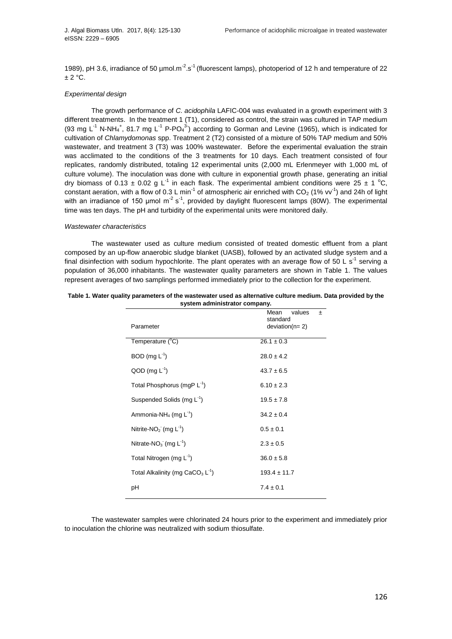1989), pH 3.6, irradiance of 50  $\mu$ mol.m<sup>-2</sup>.s<sup>-1</sup> (fluorescent lamps), photoperiod of 12 h and temperature of 22  $± 2 °C.$ 

## *Experimental design*

The growth performance of *C. acidophila* LAFIC-004 was evaluated in a growth experiment with 3 different treatments. In the treatment 1 (T1), considered as control, the strain was cultured in TAP medium (93 mg L<sup>-1</sup> N-NH<sub>4</sub><sup>+</sup>, 81.7 mg L<sup>-1</sup> P-PO<sub>4</sub><sup>3</sup>) according to Gorman and Levine (1965), which is indicated for cultivation of *Chlamydomonas* spp. Treatment 2 (T2) consisted of a mixture of 50% TAP medium and 50% wastewater, and treatment 3 (T3) was 100% wastewater. Before the experimental evaluation the strain was acclimated to the conditions of the 3 treatments for 10 days. Each treatment consisted of four replicates, randomly distributed, totaling 12 experimental units (2,000 mL Erlenmeyer with 1,000 mL of culture volume). The inoculation was done with culture in exponential growth phase, generating an initial dry biomass of 0.13  $\pm$  0.02 g L<sup>-1</sup> in each flask. The experimental ambient conditions were 25  $\pm$  1 °C, constant aeration, with a flow of 0.3 L min<sup>-1</sup> of atmospheric air enriched with CO<sub>2</sub> (1% vv<sup>-1</sup>) and 24h of light with an irradiance of 150  $\mu$ mol m<sup>-2</sup> s<sup>-1</sup>, provided by daylight fluorescent lamps (80W). The experimental time was ten days. The pH and turbidity of the experimental units were monitored daily.

### *Wastewater characteristics*

The wastewater used as culture medium consisted of treated domestic effluent from a plant composed by an up-flow anaerobic sludge blanket (UASB), followed by an activated sludge system and a final disinfection with sodium hypochlorite. The plant operates with an average flow of 50 L s<sup>-1</sup> serving a population of 36,000 inhabitants. The wastewater quality parameters are shown in Table 1. The values represent averages of two samplings performed immediately prior to the collection for the experiment.

| Table 1. Water quality parameters of the wastewater used as alternative culture medium. Data provided by the |  |  |  |  |
|--------------------------------------------------------------------------------------------------------------|--|--|--|--|
| system administrator company.                                                                                |  |  |  |  |

| Parameter                               | Mean<br>values<br>士<br>standard<br>$deviation(n=2)$ |
|-----------------------------------------|-----------------------------------------------------|
| Temperature (°C)                        | $26.1 \pm 0.3$                                      |
| BOD (mg $L^{-1}$ )                      | $28.0 \pm 4.2$                                      |
| $QOD$ (mg $L^{-1}$ )                    | $43.7 \pm 6.5$                                      |
| Total Phosphorus (mgP L <sup>-1</sup> ) | $6.10 \pm 2.3$                                      |
| Suspended Solids (mg L <sup>-1</sup> )  | $19.5 \pm 7.8$                                      |
| Ammonia-NH <sub>4</sub> (mg $L^{-1}$ )  | $34.2 \pm 0.4$                                      |
| Nitrite-NO <sub>2</sub> (mg $L^{-1}$ )  | $0.5 \pm 0.1$                                       |
| Nitrate-NO <sub>3</sub> (mg $L^{-1}$ )  | $2.3 \pm 0.5$                                       |
| Total Nitrogen (mg $L^{-1}$ )           | $36.0 \pm 5.8$                                      |
| Total Alkalinity (mg $CaCO3 L-1$ )      | $193.4 \pm 11.7$                                    |
| рH                                      | $7.4 \pm 0.1$                                       |

The wastewater samples were chlorinated 24 hours prior to the experiment and immediately prior to inoculation the chlorine was neutralized with sodium thiosulfate.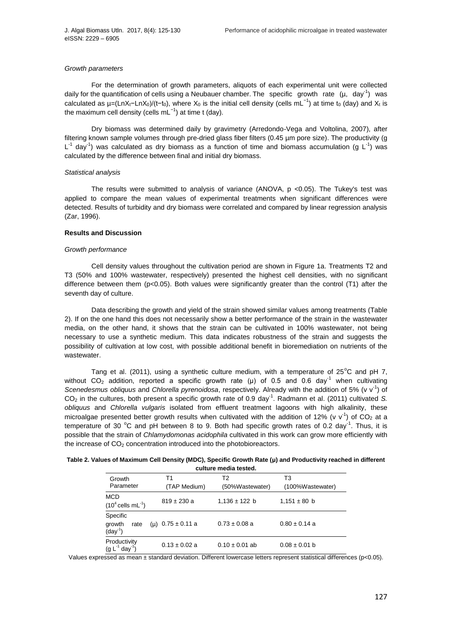## *Growth parameters*

For the determination of growth parameters, aliquots of each experimental unit were collected daily for the quantification of cells using a Neubauer chamber. The specific growth rate  $(\mu, day^{-1})$  was calculated as µ=(LnX<sub>t</sub>−LnX<sub>0</sub>)/(t-t<sub>0</sub>), where X<sub>0</sub> is the initial cell density (cells mL<sup>-1</sup>) at time t<sub>0</sub> (day) and X<sub>t</sub> is the maximum cell density (cells mL<sup>-1</sup>) at time t (day).

Dry biomass was determined daily by gravimetry (Arredondo-Vega and Voltolina, 2007), after filtering known sample volumes through pre-dried glass fiber filters (0.45 µm pore size). The productivity (g  $L^{-1}$  day<sup>-1</sup>) was calculated as dry biomass as a function of time and biomass accumulation (g L<sup>-1</sup>) was calculated by the difference between final and initial dry biomass.

#### *Statistical analysis*

The results were submitted to analysis of variance (ANOVA, p <0.05). The Tukey's test was applied to compare the mean values of experimental treatments when significant differences were detected. Results of turbidity and dry biomass were correlated and compared by linear regression analysis (Zar, 1996).

### **Results and Discussion**

#### *Growth performance*

Cell density values throughout the cultivation period are shown in Figure 1a. Treatments T2 and T3 (50% and 100% wastewater, respectively) presented the highest cell densities, with no significant difference between them (p<0.05). Both values were significantly greater than the control (T1) after the seventh day of culture.

Data describing the growth and yield of the strain showed similar values among treatments (Table 2). If on the one hand this does not necessarily show a better performance of the strain in the wastewater media, on the other hand, it shows that the strain can be cultivated in 100% wastewater, not being necessary to use a synthetic medium. This data indicates robustness of the strain and suggests the possibility of cultivation at low cost, with possible additional benefit in bioremediation on nutrients of the wastewater.

Tang et al. (2011), using a synthetic culture medium, with a temperature of  $25^{\circ}$ C and pH 7, without  $CO<sub>2</sub>$  addition, reported a specific growth rate (µ) of 0.5 and 0.6 day<sup>-1</sup> when cultivating Scenedesmus obliquus and Chlorella pyrenoidosa, respectively. Already with the addition of 5% (v v<sup>-1</sup>) of CO<sub>2</sub> in the cultures, both present a specific growth rate of 0.9 day<sup>-1</sup>. Radmann et al. (2011) cultivated *S*. *obliquus* and *Chlorella vulgaris* isolated from effluent treatment lagoons with high alkalinity, these microalgae presented better growth results when cultivated with the addition of 12% (v v<sup>-1</sup>) of CO<sub>2</sub> at a temperature of 30  $^{\circ}$ C and pH between 8 to 9. Both had specific growth rates of 0.2 day<sup>-1</sup>. Thus, it is possible that the strain of *Chlamydomonas acidophila* cultivated in this work can grow more efficiently with the increase of  $CO<sub>2</sub>$  concentration introduced into the photobioreactors.

| Table 2. Values of Maximum Cell Density (MDC), Specific Growth Rate $(\mu)$ and Productivity reached in different |
|-------------------------------------------------------------------------------------------------------------------|
| culture media tested.                                                                                             |

| Growth<br>Parameter                           | Τ1<br>(TAP Medium)    | Т2<br>(50%Wastewater) | T3<br>(100%Wastewater) |
|-----------------------------------------------|-----------------------|-----------------------|------------------------|
| <b>MCD</b><br>$(10^4 \text{ cells } mL^{-1})$ | $819 \pm 230$ a       | $1,136 \pm 122$ b     | $1,151 \pm 80$ b       |
| Specific<br>growth<br>rate<br>$(day-1)$       | (µ) $0.75 \pm 0.11$ a | $0.73 \pm 0.08$ a     | $0.80 \pm 0.14$ a      |
| Productivity<br>$(g L^{-1} day^{-1})$         | $0.13 \pm 0.02$ a     | $0.10 \pm 0.01$ ab    | $0.08 \pm 0.01$ b      |

Values expressed as mean ± standard deviation. Different lowercase letters represent statistical differences (p<0.05).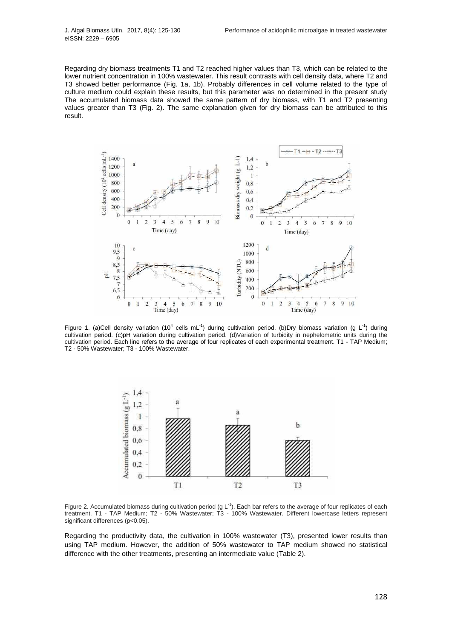Regarding dry biomass treatments T1 and T2 reached higher values than T3, which can be related to the lower nutrient concentration in 100% wastewater. This result contrasts with cell density data, where T2 and T3 showed better performance (Fig. 1a, 1b). Probably differences in cell volume related to the type of culture medium could explain these results, but this parameter was no determined in the present study The accumulated biomass data showed the same pattern of dry biomass, with T1 and T2 presenting values greater than T3 (Fig. 2). The same explanation given for dry biomass can be attributed to this result.



Figure 1. (a)Cell density variation (10<sup>4</sup> cells mL<sup>-1</sup>) during cultivation period. (b)Dry biomass variation (g L<sup>-1</sup>) during cultivation period. (c)pH variation during cultivation period. (d)Variation of turbidity in nephelometric units during the cultivation period. Each line refers to the average of four replicates of each experimental treatment. T1 - TAP Medium; T2 - 50% Wastewater; T3 - 100% Wastewater.



Figure 2. Accumulated biomass during cultivation period (g  $L^{-1}$ ). Each bar refers to the average of four replicates of each treatment. T1 - TAP Medium; T2 - 50% Wastewater; T3 - 100% Wastewater. Different lowercase letters represent significant differences (p<0.05).

Regarding the productivity data, the cultivation in 100% wastewater (T3), presented lower results than using TAP medium. However, the addition of 50% wastewater to TAP medium showed no statistical difference with the other treatments, presenting an intermediate value (Table 2).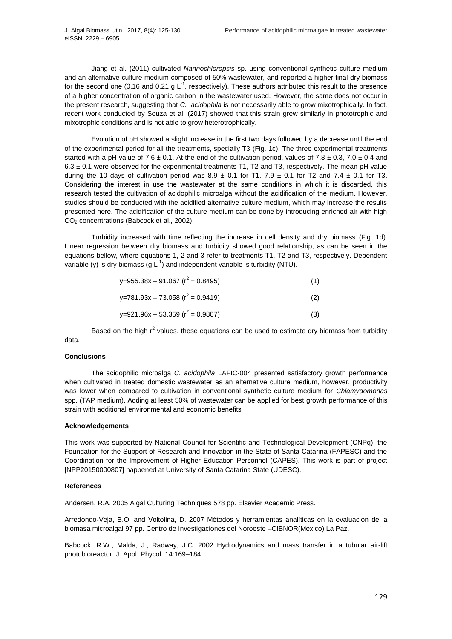Jiang et al. (2011) cultivated *Nannochloropsis* sp. using conventional synthetic culture medium and an alternative culture medium composed of 50% wastewater, and reported a higher final dry biomass for the second one (0.16 and 0.21 g  $L^{-1}$ , respectively). These authors attributed this result to the presence of a higher concentration of organic carbon in the wastewater used. However, the same does not occur in the present research, suggesting that *C. acidophila* is not necessarily able to grow mixotrophically. In fact, recent work conducted by Souza et al. (2017) showed that this strain grew similarly in phototrophic and mixotrophic conditions and is not able to grow heterotrophically.

Evolution of pH showed a slight increase in the first two days followed by a decrease until the end of the experimental period for all the treatments, specially T3 (Fig. 1c). The three experimental treatments started with a pH value of 7.6  $\pm$  0.1. At the end of the cultivation period, values of 7.8  $\pm$  0.3, 7.0  $\pm$  0.4 and  $6.3 \pm 0.1$  were observed for the experimental treatments T1, T2 and T3, respectively. The mean pH value during the 10 days of cultivation period was  $8.9 \pm 0.1$  for T1, 7.9  $\pm$  0.1 for T2 and 7.4  $\pm$  0.1 for T3. Considering the interest in use the wastewater at the same conditions in which it is discarded, this research tested the cultivation of acidophilic microalga without the acidification of the medium. However, studies should be conducted with the acidified alternative culture medium, which may increase the results presented here. The acidification of the culture medium can be done by introducing enriched air with high CO<sup>2</sup> concentrations (Babcock et al., 2002).

Turbidity increased with time reflecting the increase in cell density and dry biomass (Fig. 1d). Linear regression between dry biomass and turbidity showed good relationship, as can be seen in the equations bellow, where equations 1, 2 and 3 refer to treatments T1, T2 and T3, respectively. Dependent variable (y) is dry biomass (g  $L^{-1}$ ) and independent variable is turbidity (NTU).

| y=955.38x - 91.067 ( $r^2$ = 0.8495) |  |
|--------------------------------------|--|
|--------------------------------------|--|

| $y=781.93x - 73.058 (r^2 = 0.9419)$  | (2) |
|--------------------------------------|-----|
| y=921.96x – 53.359 ( $r^2$ = 0.9807) | (3) |

Based on the high  $r^2$  values, these equations can be used to estimate dry biomass from turbidity data.

# **Conclusions**

The acidophilic microalga *C. acidophila* LAFIC-004 presented satisfactory growth performance when cultivated in treated domestic wastewater as an alternative culture medium, however, productivity was lower when compared to cultivation in conventional synthetic culture medium for *Chlamydomonas* spp. (TAP medium). Adding at least 50% of wastewater can be applied for best growth performance of this strain with additional environmental and economic benefits

### **Acknowledgements**

This work was supported by National Council for Scientific and Technological Development (CNPq), the Foundation for the Support of Research and Innovation in the State of Santa Catarina (FAPESC) and the Coordination for the Improvement of Higher Education Personnel (CAPES). This work is part of project [NPP20150000807] happened at University of Santa Catarina State (UDESC).

# **References**

Andersen, R.A. 2005 Algal Culturing Techniques 578 pp. Elsevier Academic Press.

Arredondo-Veja, B.O. and Voltolina, D. 2007 Métodos y herramientas analíticas en la evaluación de la biomasa microalgal 97 pp. Centro de Investigaciones del Noroeste –CIBNOR(México) La Paz.

Babcock, R.W., Malda, J., Radway, J.C. 2002 Hydrodynamics and mass transfer in a tubular air-lift photobioreactor. J. Appl. Phycol. 14:169–184.